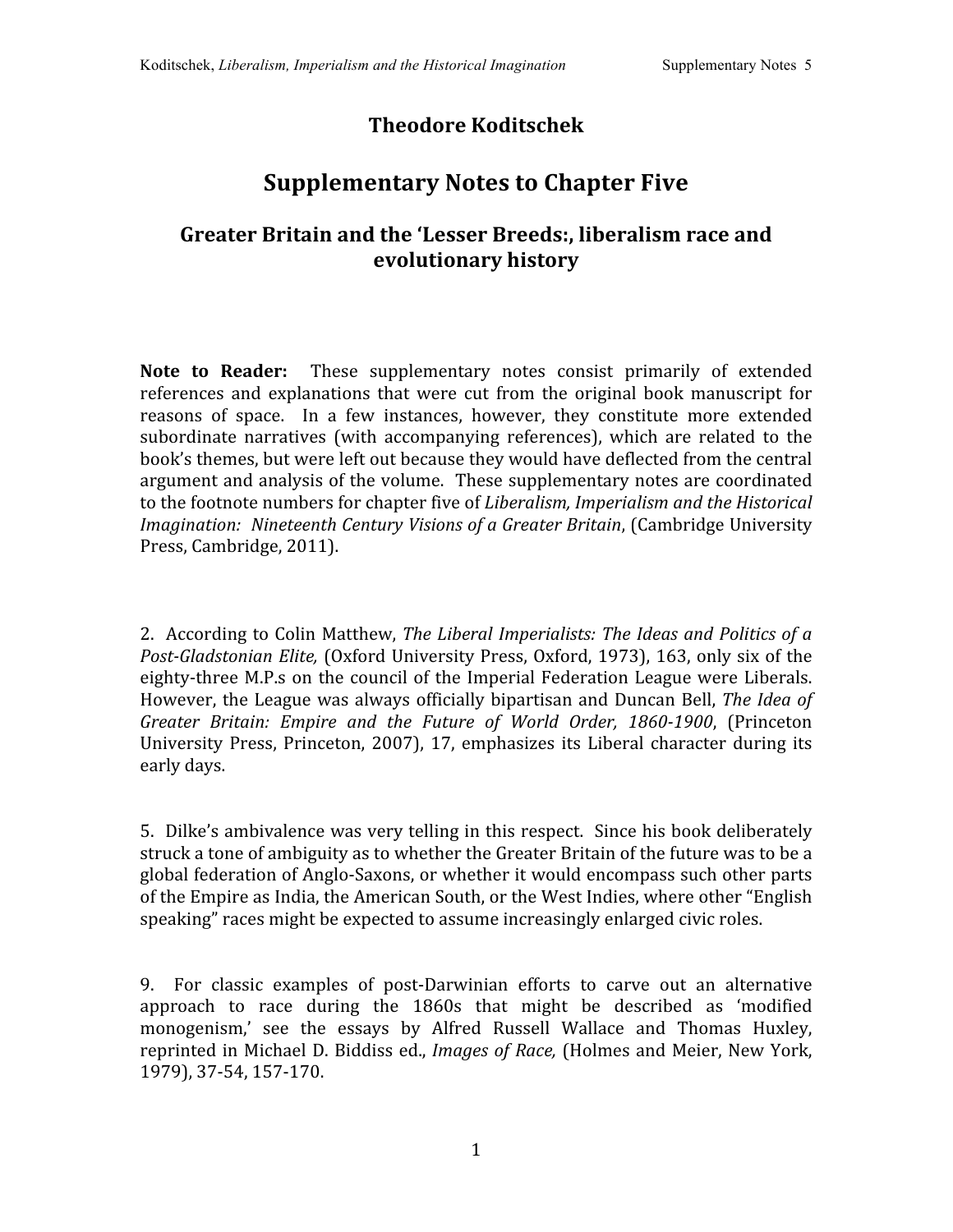## **Theodore Koditschek**

## **Supplementary Notes to Chapter Five**

## **Greater Britain and the 'Lesser Breeds:, liberalism race and evolutionary history**

**Note to Reader:** These supplementary notes consist primarily of extended references and explanations that were cut from the original book manuscript for reasons of space. In a few instances, however, they constitute more extended subordinate narratives (with accompanying references), which are related to the book's
themes,
but
were
left
out
because
they
would
have
deflected
from
the
central argument
and
analysis
of
the
volume. These
supplementary
notes
are
coordinated to the footnote numbers for chapter five of *Liberalism*, Imperialism and the Historical *Imagination: Nineteenth
Century
Visions
of
a
Greater
Britain*, (Cambridge
University Press,
Cambridge,
2011).

2. According to Colin Matthew, The Liberal Imperialists: The Ideas and Politics of a Post-Gladstonian Elite, (Oxford University Press, Oxford, 1973), 163, only six of the eighty-three M.P.s on the council of the Imperial Federation League were Liberals. However, the League was always officially bipartisan and Duncan Bell, The Idea of *Greater Britain: Empire and the Future of World Order, 18601900*, (Princeton University Press, Princeton, 2007), 17, emphasizes its Liberal character during its early
days.

5. Dilke's
ambivalence
was
very
telling
in
this
respect. Since
his
book
deliberately struck a tone of ambiguity as to whether the Greater Britain of the future was to be a global federation of Anglo-Saxons, or whether it would encompass such other parts of
the
Empire
as
India,
the
American
South,
or
the
West
Indies,
where
other
"English speaking" races might be expected to assume increasingly enlarged civic roles.

9. For classic examples of post-Darwinian efforts to carve out an alternative approach to race during the 1860s that might be described as 'modified monogenism,' see the essays by Alfred Russell Wallace and Thomas Huxley, reprinted in Michael D. Biddiss ed., *Images of Race*, (Holmes and Meier, New York, 1979),
37‐54,
157‐170.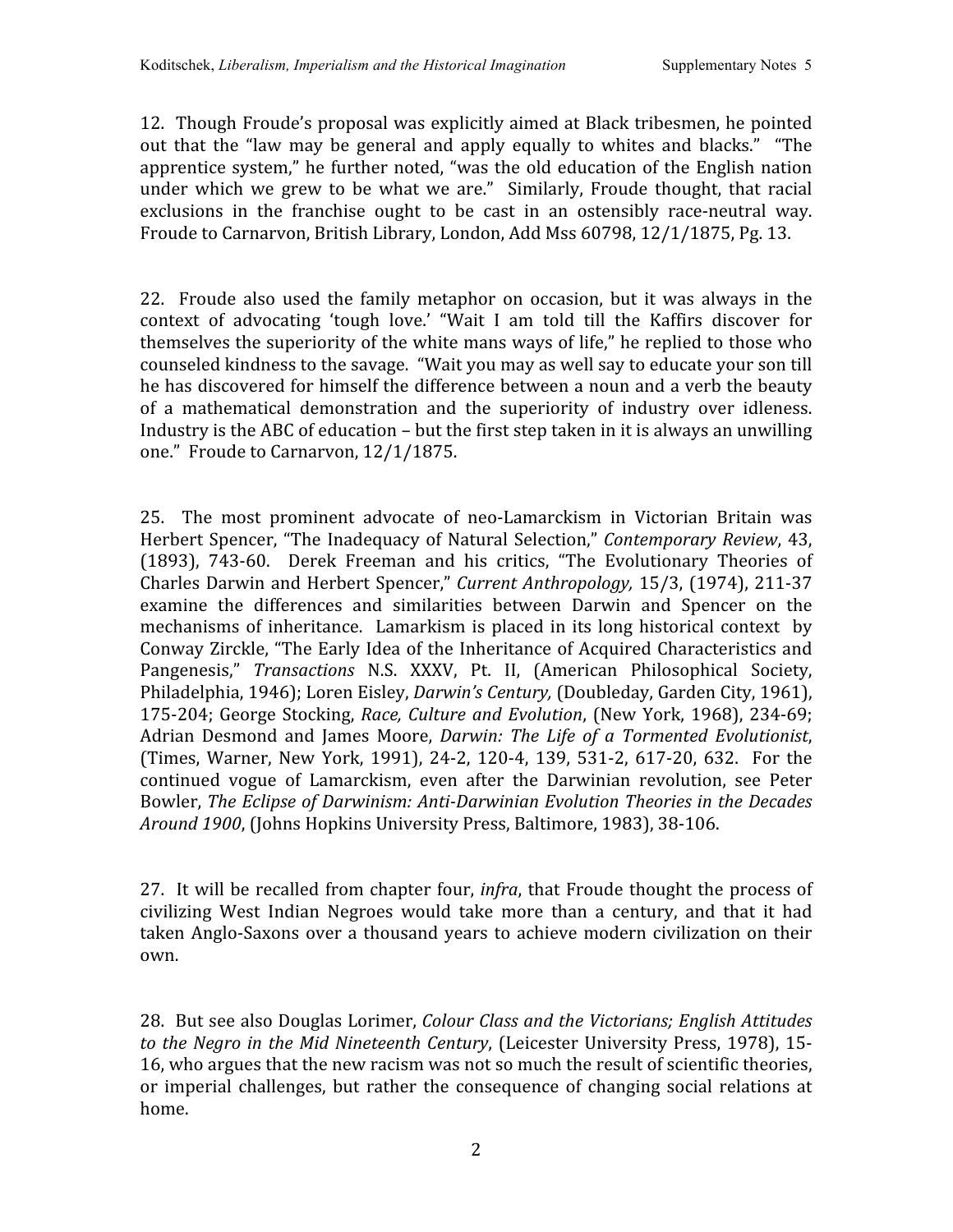12. Though
Froude's
proposal
was
explicitly
aimed
at
Black
tribesmen,
he
pointed out that the "law may be general and apply equally to whites and blacks." "The apprentice
system,"
he
further
noted,
"was
the
old
education
of
the
English
nation under which we grew to be what we are." Similarly, Froude thought, that racial exclusions in the franchise ought to be cast in an ostensibly race-neutral way. Froude to Carnarvon, British Library, London, Add Mss 60798, 12/1/1875, Pg. 13.

22. Froude also used the family metaphor on occasion, but it was always in the context of advocating 'tough love.' "Wait I am told till the Kaffirs discover for themselves the superiority of the white mans ways of life," he replied to those who counseled kindness to the savage. "Wait you may as well say to educate your son till he has discovered for himself the difference between a noun and a verb the beauty of a mathematical demonstration and the superiority of industry over idleness. Industry is the ABC of education – but the first step taken in it is always an unwilling one."

Froude
to
Carnarvon,
12/1/1875.

25. The most prominent advocate of neo‐Lamarckism in Victorian Britain was Herbert
Spencer, "The
Inadequacy
of
Natural
Selection," *Contemporary
Review*,
43, (1893), 743‐60. Derek Freeman and his critics, "The Evolutionary Theories of Charles
Darwin
and
Herbert
Spencer," *Current
Anthropology,* 15/3,
(1974),
211‐37 examine the differences and similarities between Darwin and Spencer on the mechanisms of inheritance. Lamarkism is placed in its long historical context by Conway
Zirckle,
"The
Early
Idea
of
the
Inheritance
of
Acquired
Characteristics
and Pangenesis," Transactions N.S. XXXV, Pt. II, (American Philosophical Society, Philadelphia, 1946); Loren Eisley, *Darwin's Century*, (Doubleday, Garden City, 1961), 175‐204;
George
Stocking, *Race,
Culture
and
Evolution*,
(New
York,
1968),
234‐69; Adrian Desmond and James Moore, *Darwin: The Life of a Tormented Evolutionist*, (Times,
Warner,
New York, 1991), 24‐2, 120‐4, 139, 531‐2, 617‐20, 632. For
the continued vogue of Lamarckism, even after the Darwinian revolution, see Peter Bowler, The Eclipse of Darwinism: Anti-Darwinian Evolution Theories in the Decades Around 1900, (Johns Hopkins University Press, Baltimore, 1983), 38-106.

27. It will be recalled from chapter four, *infra*, that Froude thought the process of civilizing West Indian Negroes would take more than a century, and that it had taken Anglo-Saxons over a thousand vears to achieve modern civilization on their own.

28. But
see
also
Douglas
Lorimer, *Colour
Class
and
the
Victorians;
English
Attitudes*  to the Negro in the Mid Nineteenth Century, (Leicester University Press, 1978), 15-16,
who
argues
that
the
new
racism
was
not
so much
the
result
of
scientific
theories, or imperial challenges, but rather
the consequence of changing social relations at home.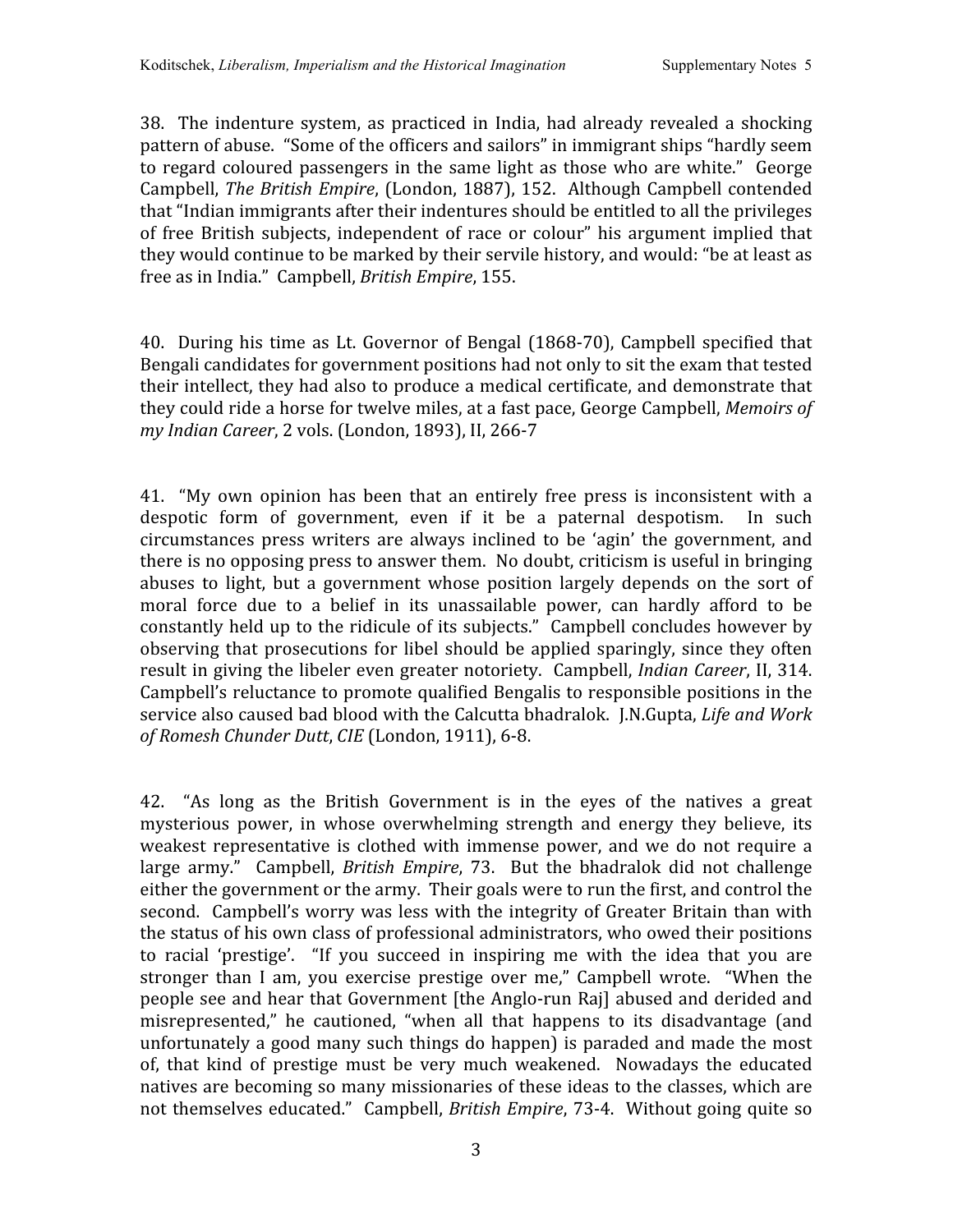38. The
indenture system, as
practiced
in
India,
had already revealed a shocking pattern
of
abuse. "Some
of
the
officers
and sailors"
in
immigrant
ships
"hardly
seem to regard coloured passengers in the same light as those who are white." George Campbell, *The
British
Empire*,
(London,
1887),
152. Although
Campbell
contended that "Indian immigrants after their indentures should be entitled to all the privileges of free British subjects, independent of race or colour" his argument implied that they would continue to be marked by their servile history, and would: "be at least as free
as
in
India."

Campbell, *British
Empire*,
155.

40. During
his
time as
Lt.
Governor
of
Bengal
(1868‐70),
Campbell specified
that Bengali candidates for government positions had not only to sit the exam that tested their intellect, they had also to produce a medical certificate, and demonstrate that they
could
ride
a
horse
for
twelve
miles,
at
a
fast
pace,
George
Campbell, *Memoirs
of*  my Indian Career, 2 vols. (London, 1893), II, 266-7

41. "My own opinion has been that an entirely free press is inconsistent with a despotic form of government, even if it be a paternal despotism. In such circumstances press writers are always inclined to be 'agin' the government, and there
is
no
opposing
press
to
answer
them. No
doubt,
criticism
is
useful
in
bringing abuses to light, but a government whose position largely depends on the sort of moral force due to a belief in its unassailable power, can hardly afford to be constantly held up to the ridicule of its subjects." Campbell concludes however by observing that prosecutions for libel should be applied sparingly, since they often result in giving the libeler even greater notoriety. Campbell, *Indian Career*, II, 314. Campbell's
reluctance
to
promote
qualified
Bengalis
to
responsible
positions
in
the service also caused bad blood with the Calcutta bhadralok. I.N.Gupta, *Life and Work of
Romesh
Chunder
Dutt*, *CIE*(London,
1911),
6‐8.

42. "As long as the British Government is in the eyes of the natives a great mysterious power, in whose overwhelming strength and energy they believe, its weakest representative is clothed with immense power, and we do not require a large army." Campbell, *British Empire*, 73. But the bhadralok did not challenge either the government or the army. Their goals were to run the first, and control the second. Campbell's worry was less with the integrity of Greater Britain than with the
status
of
his
own
class
of
professional
administrators,
who
owed
their
positions to racial 'prestige'. "If you succeed in inspiring me with the idea that you are stronger than I am, you exercise prestige over me," Campbell wrote. "When the people see and hear that Government [the Anglo-run Raj] abused and derided and misrepresented," he cautioned, "when all that happens to its disadvantage (and unfortunately
a
good
many
such
things
do
happen)
is
paraded
and
made
the
most of, that kind of prestige must be very much weakened. Nowadays the educated natives are becoming so many missionaries of these ideas to the classes, which are not themselves educated." Campbell, *British Empire*, 73-4. Without going quite so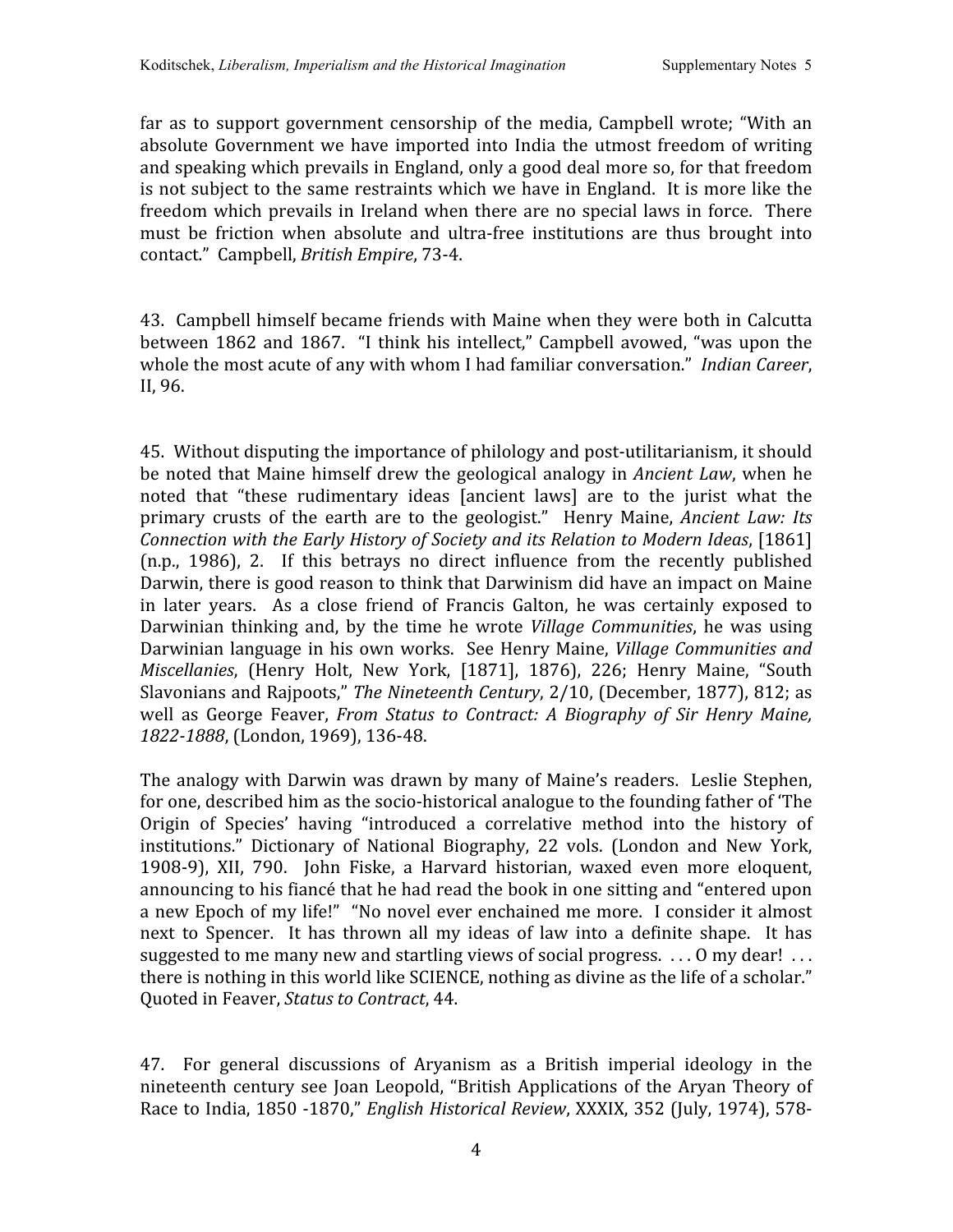far as to support government censorship of the media, Campbell wrote; "With an absolute
Government
we
have
imported
into
India
the
utmost
freedom
of
writing and
speaking
which
prevails
in
England,
only
a
good
deal
more
so,
for
that
freedom is not subject to the same restraints which we have in England. It is more like the freedom which prevails in Ireland when there are no special laws in force. There must be friction when absolute and ultra-free institutions are thus brought into contact."

Campbell, *British
Empire*,
73‐4.

43. Campbell
himself
became
friends
with
Maine
when
they
were
both
in
Calcutta between 1862 and 1867. "I think his intellect," Campbell avowed, "was upon the whole the most acute of any with whom I had familiar conversation." *Indian Career*, II,
96.

45. Without
disputing
the
importance
of
philology
and
post‐utilitarianism,
it
should be
noted
that
Maine
himself
drew
the
geological
analogy
in *Ancient
Law*,
when
he noted that "these rudimentary ideas [ancient laws] are to the jurist what the primary crusts of the earth are to the geologist." Henry Maine, Ancient Law: Its Connection with the Early History of Society and its Relation to Modern Ideas, [1861] (n.p., 1986), 2. If this betrays no direct influence from the recently published Darwin, there is good reason to think that Darwinism did have an impact on Maine in later years. As a close friend of Francis Galton, he was certainly exposed to Darwinian thinking and, by the time he wrote *Village Communities*, he was using Darwinian language in his own works. See Henry Maine, Village Communities and Miscellanies, (Henry Holt, New York, [1871], 1876), 226; Henry Maine, "South Slavonians and Rajpoots," The Nineteenth Century, 2/10, (December, 1877), 812; as well as George Feaver, *From Status to Contract: A Biography of Sir Henry Maine, 18221888*,
(London,
1969),
136‐48.

The
analogy
with
Darwin
was
drawn
by
many
of
Maine's readers. Leslie
Stephen, for one, described him as the socio-historical analogue to the founding father of 'The Origin of Species' having "introduced a correlative method into the history of institutions." Dictionary of National Biography, 22 vols. (London and New York, 1908‐9), XII, 790. John Fiske, a Harvard historian, waxed even more eloquent, announcing
to
his
fiancé
that
he
had
read
the
book
in
one
sitting
and
"entered
upon a new Epoch of my life!" "No novel ever enchained me more. I consider it almost next to Spencer. It has thrown all my ideas of law into a definite shape. It has suggested to me many new and startling views of social progress. ... O my dear! ... there is nothing in this world like SCIENCE, nothing as divine as the life of a scholar." Quoted
in
Feaver, *Status
to
Contract*,
44.

47. For general discussions of Aryanism as a British imperial ideology in the nineteenth century see
Joan
Leopold,
"British
Applications
of
the
Aryan
Theory
of Race
to
India,
1850
‐1870," *English
Historical
Review*,
XXXIX,
352
(July,
1974),
578‐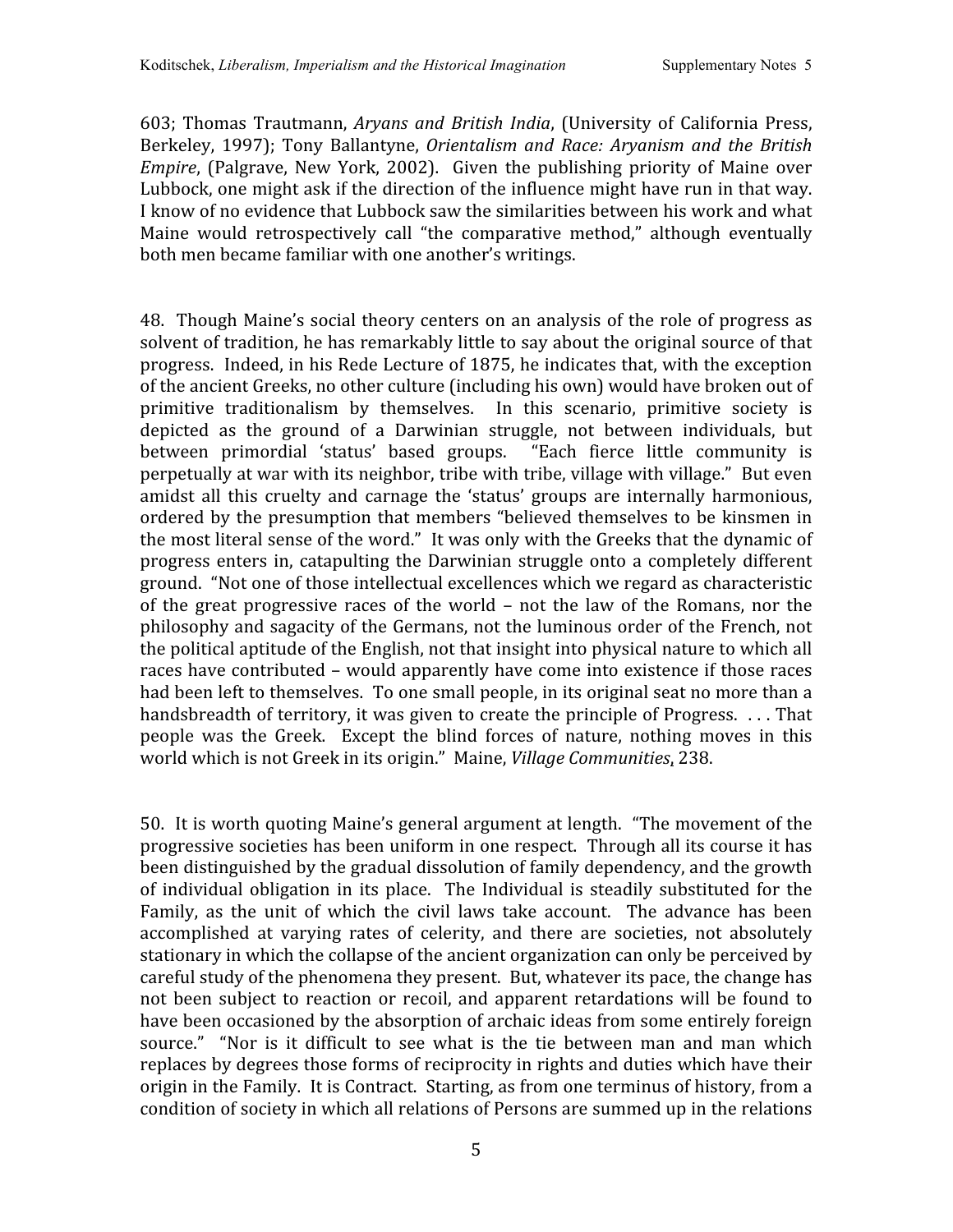603;
Thomas
Trautmann, *Aryans and
British
India*,
(University of California
Press, Berkeley, 1997); Tony Ballantyne, Orientalism and Race: Arvanism and the British *Empire*, (Palgrave, New York, 2002). Given the publishing priority of Maine over Lubbock, one might ask if the direction of the influence might have run in that way. I know of no evidence that Lubbock saw the similarities between his work and what Maine would retrospectively call "the comparative method," although eventually both
men
became
familiar
with
one
another's
writings.

48. Though
Maine's
social
theory
centers
on
an
analysis
of
the
role
of
progress
as solvent of tradition, he has remarkably little to say about the original source of that progress. Indeed,
in
his
Rede
Lecture
of
1875,
he
indicates
that,
with
the
exception of
the
ancient
Greeks,
no
other
culture
(including
his
own)
would
have
broken
out
of primitive traditionalism by themselves. In this scenario, primitive society is depicted as the ground of a Darwinian struggle, not between individuals, but between primordial 'status' based groups. "Each fierce little community is perpetually at war with its neighbor, tribe with tribe, village with village." But even amidst all this cruelty and carnage the 'status' groups are internally harmonious, ordered
by
the
presumption
that
members
"believed
themselves
to
be
kinsmen
in the most literal sense of the word." It was only with the Greeks that the dynamic of progress
enters
in, catapulting
the
Darwinian struggle
onto a completely
different ground. "Not
one
of
those
intellectual
excellences
which we
regard
as
characteristic of the great progressive races of the world – not the law of the Romans, nor the philosophy
and
sagacity
of
the
Germans,
not
the
luminous
order
of
the
French,
not the
political
aptitude
of
the
English,
not
that
insight
into
physical
nature
to
which
all races
have
contributed
– would
apparently
have
come
into
existence
if
those
races had been left to themselves. To one small people, in its original seat no more than a handsbreadth of territory, it was given to create the principle of Progress. ... That people was the Greek. Except the blind forces of nature, nothing moves in this world which is not Greek in its origin." Maine, *Village Communities*, 238.

50. It
is
worth
quoting
Maine's
general
argument
at
length. "The
movement
of
the progressive
societies
has
been
uniform
in
one
respect. Through
all
its
course
it
has been
distinguished
by
the
gradual
dissolution
of
family
dependency,
and
the
growth of individual obligation in its place. The Individual is steadily substituted for the Family, as the unit of which the civil laws take account. The advance has been accomplished at varying rates of celerity, and there are societies, not absolutely stationary in which the collapse of the ancient organization can only be perceived by careful study of the phenomena they present. But, whatever its pace, the change has not been subject to reaction or recoil, and apparent retardations will be found to have been occasioned by the absorption of archaic ideas from some entirely foreign source." "Nor is it difficult to see what is the tie between man and man which replaces
by
degrees
those
forms
of
reciprocity
in
rights
and
duties
which
have
their origin in the Family. It is Contract. Starting, as from one terminus of history, from a condition
of
society
in
which
all
relations
of
Persons
are
summed
up
in
the
relations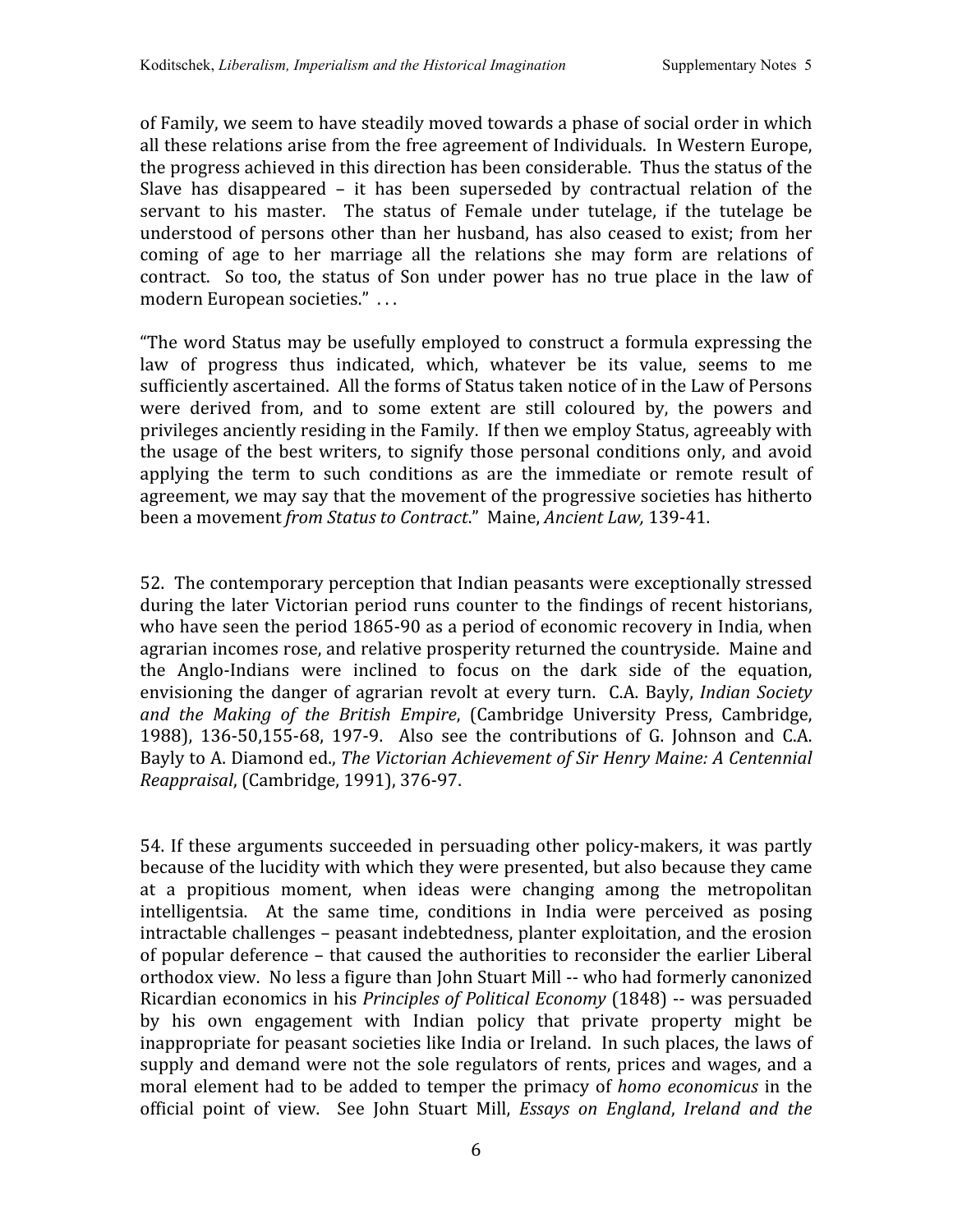of
Family,
we
seem
to
have
steadily
moved
towards
a
phase
of
social
order
in
which all
these
relations
arise
from
the
free
agreement
of
Individuals. In
Western
Europe, the progress achieved in this direction has been considerable. Thus the status of the Slave has disappeared – it has been superseded by contractual relation of the servant to his master. The status of Female under tutelage, if the tutelage be understood of persons other than her husband, has also ceased to exist; from her coming of age to her marriage all the relations she may form are relations of contract. So too, the status of Son under power has no true place in the law of modern
European
societies."

.
.
.

"The
word
Status
may
be
usefully
employed
to
construct
a
formula
expressing
the law of progress thus indicated, which, whatever be its value, seems to me sufficiently ascertained. All the forms of Status taken notice of in the Law of Persons were derived from, and to some extent are still coloured by, the powers and privileges
anciently
residing
in
the
Family. If
then
we
employ
Status,
agreeably
with the
usage
of
the
best
writers,
to signify
those
personal conditions
only, and avoid applying the term to such conditions as are the immediate or remote result of agreement,
we
may
say
that
the
movement
of
the
progressive
societies
has
hitherto been
a
movement *from
Status
to
Contract*."

Maine, *Ancient
Law,* 139‐41.

52. The
contemporary
perception
that
Indian
peasants
were
exceptionally
stressed during the later Victorian period runs counter to the findings of recent historians, who have seen the period 1865-90 as a period of economic recovery in India, when agrarian incomes rose, and relative prosperity returned the countryside. Maine and the Anglo‐Indians were inclined to focus on the dark side of the equation, envisioning the danger of agrarian revolt at every turn. C.A. Bayly, *Indian Society* and the Making of the British Empire, (Cambridge University Press, Cambridge, 1988), 136-50,155-68, 197-9. Also see the contributions of G. Johnson and C.A. Bayly to A. Diamond ed., The Victorian Achievement of Sir Henry Maine: A Centennial *Reappraisal*,
(Cambridge,
1991),
376‐97.

54.
If
these
arguments succeeded
in
persuading
other
policy‐makers, it
was
partly because
of
the
lucidity
with
which
they
were
presented,
but
also
because
they
came at a propitious moment, when ideas were changing among the metropolitan intelligentsia. At the same time, conditions in India were perceived as posing intractable
challenges
– peasant
indebtedness,
planter
exploitation,
and
the
erosion of
popular
deference
– that
caused
the
authorities
to
reconsider
the
earlier
Liberal orthodox view. No less a figure than John Stuart Mill -- who had formerly canonized Ricardian
economics
in
his *Principles
of
Political
Economy* (1848)
‐‐ was
persuaded by his own engagement with Indian policy that private property might be inappropriate for peasant societies like India or Ireland. In such places, the laws of supply and demand were not the sole regulators of rents, prices and wages, and a moral
element
had
to
be
added
to
temper
the
primacy
of *homo economicus* in
the official point of view. See John Stuart Mill, *Essays on England*, *Ireland and the*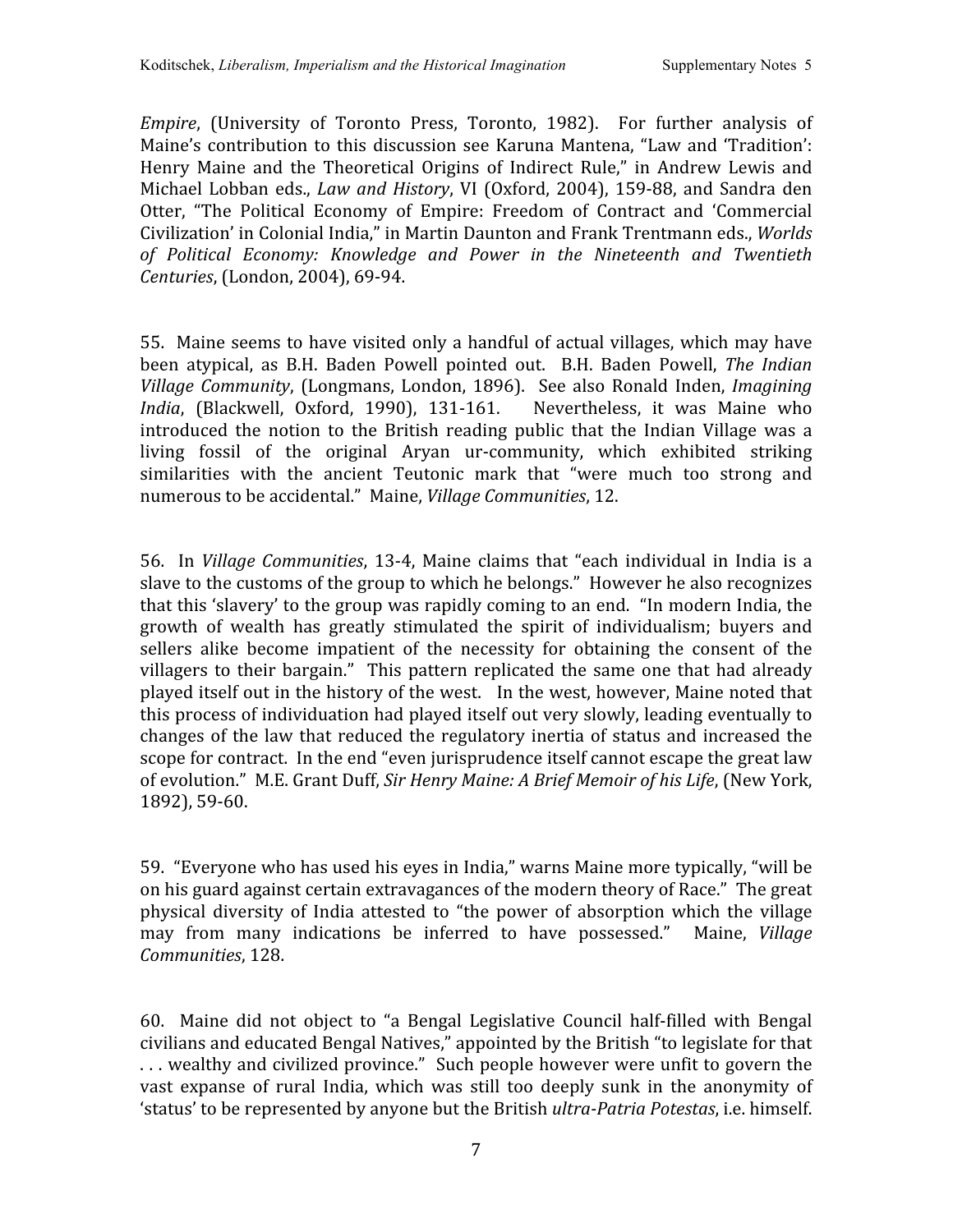*Empire*, (University of Toronto Press, Toronto, 1982). For further analysis of Maine's contribution to this discussion see Karuna Mantena, "Law and 'Tradition': Henry Maine and the Theoretical Origins of Indirect Rule," in Andrew Lewis and Michael Lobban eds., *Law and History*, VI (Oxford, 2004), 159-88, and Sandra den Otter, "The Political Economy of Empire: Freedom of Contract and 'Commercial Civilization' in Colonial India." in Martin Daunton and Frank Trentmann eds., *Worlds of Political Economy: Knowledge and Power in the Nineteenth and Twentieth Centuries*,
(London,
2004),
69‐94.

55. Maine
seems
to
have
visited
only
a
handful
of
actual
villages,
which
may
have been atypical, as B.H. Baden Powell pointed out. B.H. Baden Powell, The Indian Village Community, (Longmans, London, 1896). See also Ronald Inden, *Imagining* India, (Blackwell, Oxford, 1990), 131-161. Nevertheless, it was Maine who introduced the notion to the British reading public that the Indian Village was a living fossil of the original Aryan ur-community, which exhibited striking similarities with the ancient Teutonic mark that "were much too strong and numerous
to
be
accidental."

Maine, *Village
Communities*,
12.

56. In *Village Communities*, 13-4, Maine claims that "each individual in India is a slave to the customs of the group to which he belongs." However he also recognizes that this 'slavery' to the group was rapidly coming to an end. "In modern India, the growth of wealth has greatly stimulated the spirit of individualism; buyers and sellers alike become impatient of the necessity for obtaining the consent of the villagers to their bargain." This pattern replicated the same one that had already played
itself
out
in
the
history
of
the
west. In
the
west,
however,
Maine
noted
that this process of individuation had played itself out very slowly, leading eventually to changes
of
the
law
that reduced
the regulatory
inertia
of status
and
increased
the scope for contract. In the end "even jurisprudence itself cannot escape the great law of evolution." M.E. Grant Duff, Sir Henry Maine: A Brief Memoir of his Life, (New York, 1892),
59‐60.

59. "Everyone
who
has
used
his
eyes
in
India,"
warns
Maine
more
typically,
"will
be on
his
guard
against
certain
extravagances
of
the
modern
theory
of
Race." The
great physical diversity of India attested to "the power of absorption which the village may from many indications be inferred to have possessed." Maine, *Village Communities*,
128.

60. Maine did not object to
"a Bengal Legislative Council half‐filled with Bengal civilians
and
educated
Bengal
Natives,"
appointed
by
the
British
"to
legislate
for
that ... wealthy and civilized province." Such people however were unfit to govern the vast expanse of rural India, which was still too deeply sunk in the anonymity of 'status' to be represented by anyone but the British *ultra-Patria Potestas*, *i.e.* himself.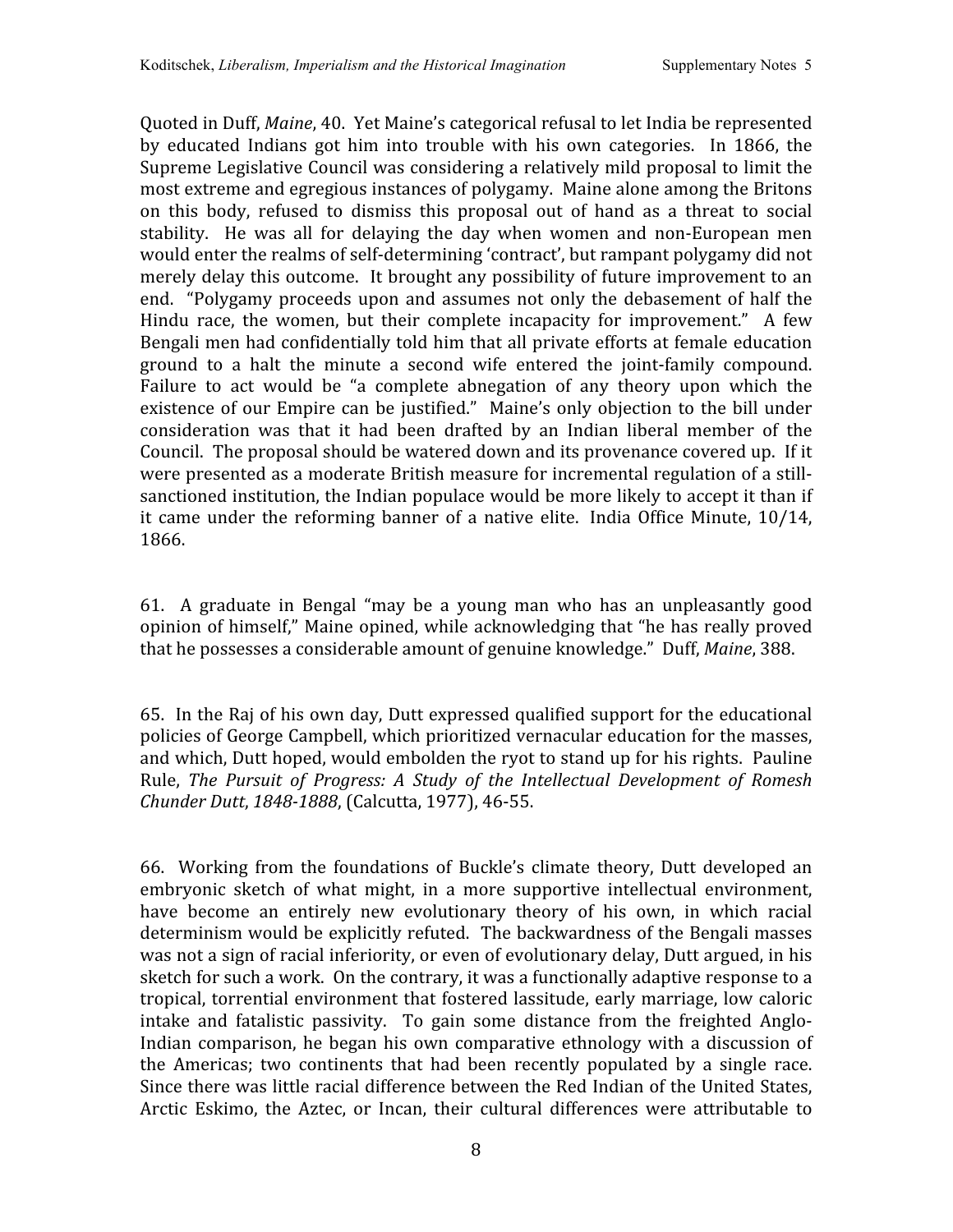Quoted in Duff, *Maine*, 40. Yet Maine's categorical refusal to let India be represented by educated Indians got him into trouble with his own categories. In 1866, the Supreme
Legislative
Council
was
considering
a
relatively
mild
proposal
to
limit
the most
extreme
and
egregious
instances
of
polygamy. Maine
alone
among
the
Britons on this body, refused to dismiss this proposal out of hand as a threat to social stability. He was all for delaying the day when women and non-European men would enter the realms of self-determining 'contract', but rampant polygamy did not merely delay this outcome. It brought any possibility of future improvement to an end. "Polygamy proceeds upon and assumes not only the debasement of half the Hindu race, the women, but their complete incapacity for improvement." A few Bengali
men
had
confidentially
told
him
that
all
private
efforts
at
female
education ground to a halt the minute a second wife entered the joint‐family compound. Failure to act would be "a complete abnegation of any theory upon which the existence of our Empire can be justified." Maine's only objection to the bill under consideration was that it had been drafted by an Indian liberal member of the Council. The proposal should be watered down and its provenance covered up. If it were presented as a moderate British measure for incremental regulation of a stillsanctioned institution, the Indian populace would be more likely to accept it than if it came under the reforming banner of a native elite. India Office Minute, 10/14, 1866.

61. A graduate in Bengal "may be a young man who has an unpleasantly good opinion of himself," Maine opined, while acknowledging that "he has really proved that
he
possesses
a
considerable
amount
of
genuine
knowledge."

Duff, *Maine*,
388.

65. In
the
Raj
of
his
own
day,
Dutt
expressed
qualified
support
for
the
educational policies
of
George
Campbell,
which
prioritized
vernacular
education
for
the
masses, and
which,
Dutt
hoped,
would
embolden
the
ryot
to
stand
up
for
his
rights. Pauline Rule, The Pursuit of Progress: A Study of the Intellectual Development of Romesh *Chunder
Dutt*, *18481888*,
(Calcutta,
1977),
46‐55.

66. Working from
the foundations of
Buckle's climate
theory,
Dutt developed an embryonic sketch of what might, in a more supportive intellectual environment, have become an entirely new evolutionary theory of his own, in which racial determinism would be explicitly refuted. The backwardness of the Bengali masses was not a sign of racial inferiority, or even of evolutionary delay, Dutt argued, in his sketch for such a work. On the contrary, it was a functionally adaptive response to a tropical,
torrential
environment
that
fostered
lassitude,
early
marriage,
low
caloric intake and fatalistic passivity. To gain some distance from the freighted Anglo-Indian comparison, he began his own comparative ethnology with a discussion of the Americas; two continents that had been recently populated by a single race. Since
there
was
little
racial
difference
between
the
Red
Indian
of
the
United
States, Arctic Eskimo, the Aztec, or Incan, their cultural differences were attributable to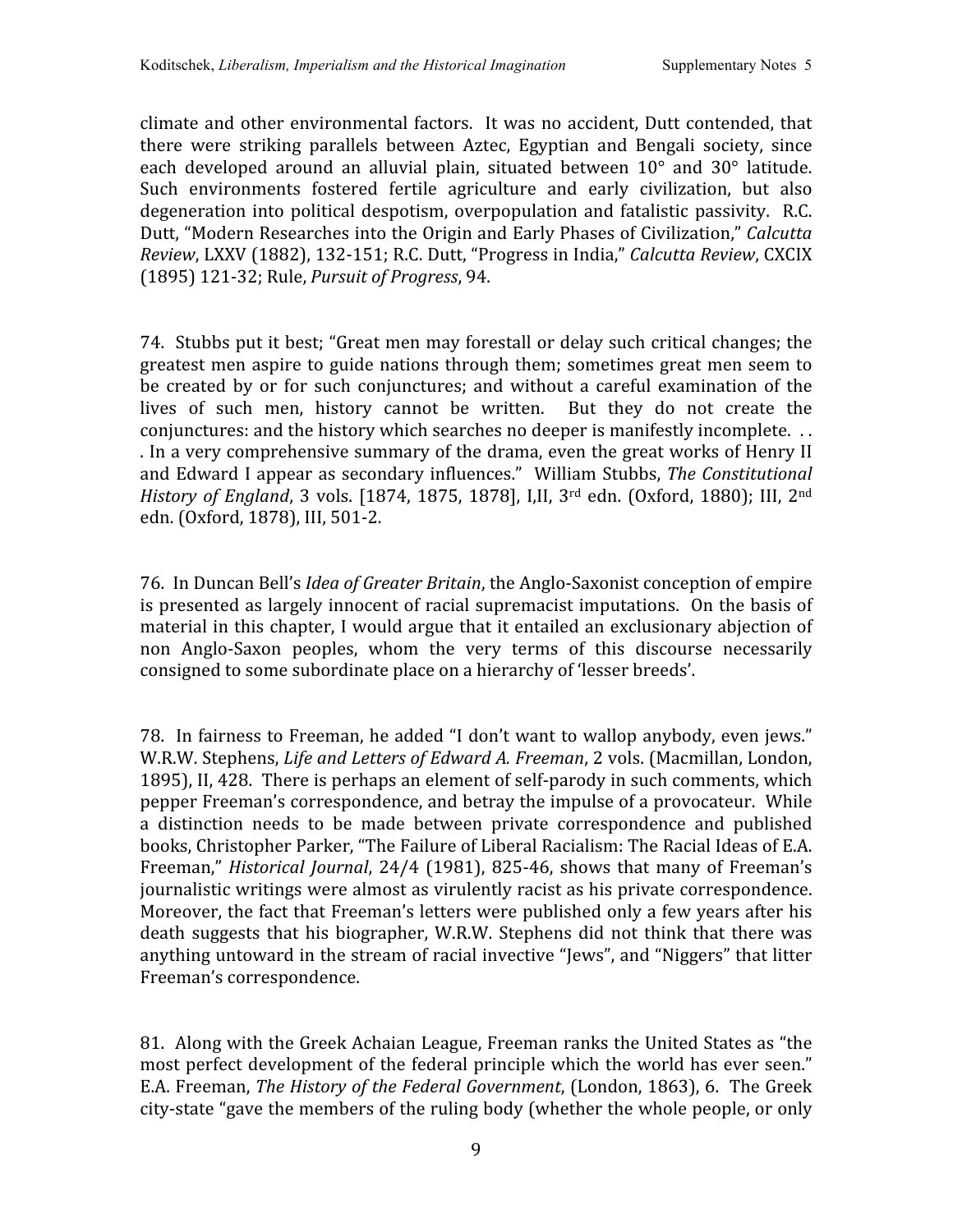climate
and
other
environmental
factors. It
was
no
accident,
Dutt
contended,
that there were striking parallels between Aztec, Egyptian and Bengali society, since each developed around an alluvial plain, situated between 10° and 30° latitude. Such environments fostered fertile agriculture and early civilization, but also degeneration into political despotism, overpopulation and fatalistic passivity. R.C. Dutt,
"Modern
Researches
into
the
Origin
and
Early
Phases
of
Civilization," *Calcutta Review*,
LXXV
(1882),
132‐151;
R.C.
Dutt,
"Progress
in
India," *Calcutta
Review*,
CXCIX (1895)
121‐32;
Rule, *Pursuit
of
Progress*,
94.

74. Stubbs
put
it
best;
"Great
men
may
forestall
or
delay
such
critical
changes;
the greatest men aspire to guide nations through them; sometimes great men seem to be created by or for such conjunctures; and without a careful examination of the lives of such men, history cannot be written. But they do not create the conjunctures: and the history which searches no deeper is manifestly incomplete... . In a very comprehensive summary of the drama, even the great works of Henry II and
Edward
I
appear
as
secondary
influences." William
Stubbs, *The
Constitutional*  History of England, 3 vols. [1874, 1875, 1878], I,II, 3<sup>rd</sup> edn. (Oxford, 1880); III, 2<sup>nd</sup> edn.
(Oxford,
1878),
III,
501‐2.

76. In
Duncan
Bell's *Idea
of
Greater
Britain*,
the
Anglo‐Saxonist
conception
of
empire is
presented
as
largely
innocent
of
racial
supremacist
imputations. On
the
basis
of material in this chapter, I would argue that it entailed an exclusionary abjection of non Anglo‐Saxon peoples, whom the very terms of this discourse necessarily consigned
to
some
subordinate
place
on
a
hierarchy
of
'lesser
breeds'.

78. In fairness to Freeman, he added "I don't want to wallop anybody, even jews." W.R.W. Stephens, *Life and Letters of Edward A. Freeman*, 2 vols. (Macmillan, London, 1895),
II,
428. There
is
perhaps
an
element
of
self‐parody
in
such
comments,
which pepper
Freeman's
correspondence,
and
betray
the
impulse
of
a
provocateur. While a distinction needs to be made between private correspondence and published books, Christopher Parker, "The Failure of Liberal Racialism: The Racial Ideas of E.A. Freeman," *Historical Journal*, 24/4 (1981), 825-46, shows that many of Freeman's journalistic
writings
were
almost
as
virulently
racist
as
his
private
correspondence. Moreover, the fact that Freeman's letters were published only a few years after his death suggests that his biographer, W.R.W. Stephens did not think that there was anything untoward in the stream of racial invective "Jews", and "Niggers" that litter Freeman's
correspondence.

81. Along with the Greek Achaian League, Freeman ranks the United States as "the most perfect development of the federal principle which the world has ever seen." E.A.
Freeman, *The
History
of
the
Federal
Government*,
(London,
1863),
6. The
Greek city-state "gave the members of the ruling body (whether the whole people, or only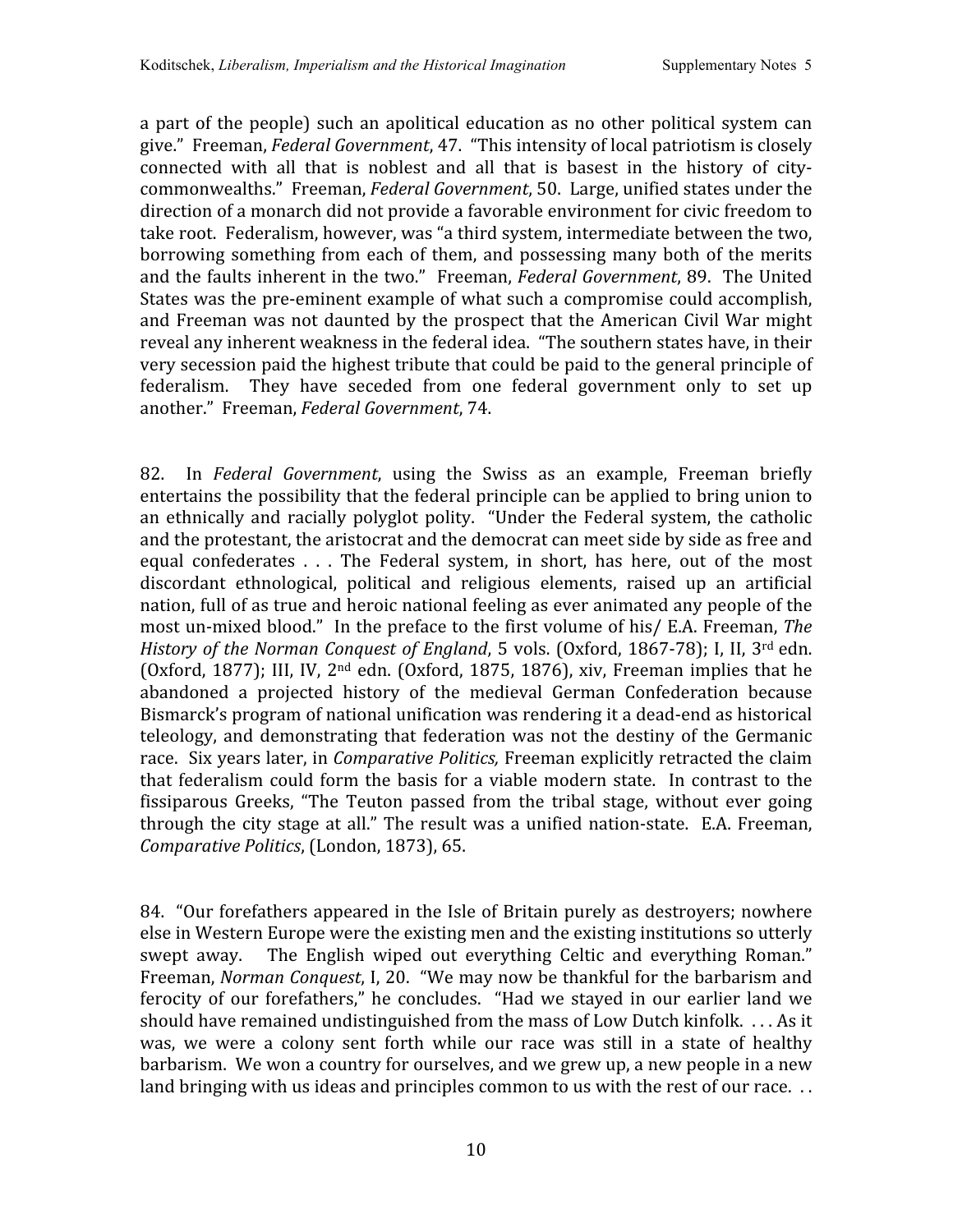a part of the people) such an apolitical education as no other political system can give." Freeman, *Federal
Government*,
47. "This
intensity
of
local
patriotism
is
closely connected with all that is noblest and all that is basest in the history of citycommonwealths." Freeman, *Federal
Government*,
50. Large,
unified
states
under
the direction of a monarch did not provide a favorable environment for civic freedom to take root. Federalism, however, was "a third system, intermediate between the two, borrowing something from each of them, and possessing many both of the merits and
the
faults
inherent
in
the
two." Freeman, *Federal
Government*,
89. The
United States
was
the
pre‐eminent
example
of
what
such
a
compromise
could
accomplish, and
Freeman
was
not
daunted
by
the
prospect
that
the
American
Civil
War
might reveal any inherent weakness in the federal idea. "The southern states have, in their very
secession
paid
the
highest
tribute
that
could
be
paid
to
the
general
principle
of federalism. They have seceded from one federal government only to set up another."

Freeman, *Federal
Government*,
74.

82. In Federal Government, using the Swiss as an example, Freeman briefly entertains
the
possibility
that
the
federal
principle
can
be
applied
to
bring
union
to an ethnically and racially polyglot polity. "Under the Federal system, the catholic and the protestant, the aristocrat and the democrat can meet side by side as free and equal confederates . . . The Federal system, in short, has here, out of the most discordant ethnological, political and religious elements, raised up an artificial nation,
full
of
as
true
and
heroic
national
feeling
as
ever
animated
any
people
of
the most
un‐mixed
blood." In
the
preface
to
the
first
volume
of
his/
E.A.
Freeman, *The*  History of the Norman Conquest of England, 5 vols. (Oxford, 1867-78); I, II, 3<sup>rd</sup> edn. (Oxford, 1877); III, IV,  $2<sup>nd</sup>$  edn. (Oxford, 1875, 1876), xiv, Freeman implies that he abandoned a projected history of the medieval German Confederation because Bismarck's program of national unification was rendering it a dead-end as historical teleology, and demonstrating that federation was not the destiny of the Germanic race. Six years later, in *Comparative Politics*, Freeman explicitly retracted the claim that federalism could form the basis for a viable modern state. In contrast to the fissiparous Greeks, "The Teuton passed from the tribal stage, without ever going through the city stage at all." The result was a unified nation-state. E.A. Freeman, *Comparative
Politics*,
(London,
1873),
65.

84. "Our
forefathers
appeared
in
the
Isle
of
Britain
purely
as
destroyers;
nowhere else in Western Europe were the existing men and the existing institutions so utterly swept away. The English wiped out everything Celtic and everything Roman." Freeman, Norman Conquest, I, 20. "We may now be thankful for the barbarism and ferocity of our forefathers," he concludes. "Had we stayed in our earlier land we should have remained undistinguished from the mass of Low Dutch kinfolk. ... As it was, we were a colony sent forth while our race was still in a state of healthy barbarism. We won a country for ourselves, and we grew up, a new people in a new land bringing with us ideas and principles common to us with the rest of our race...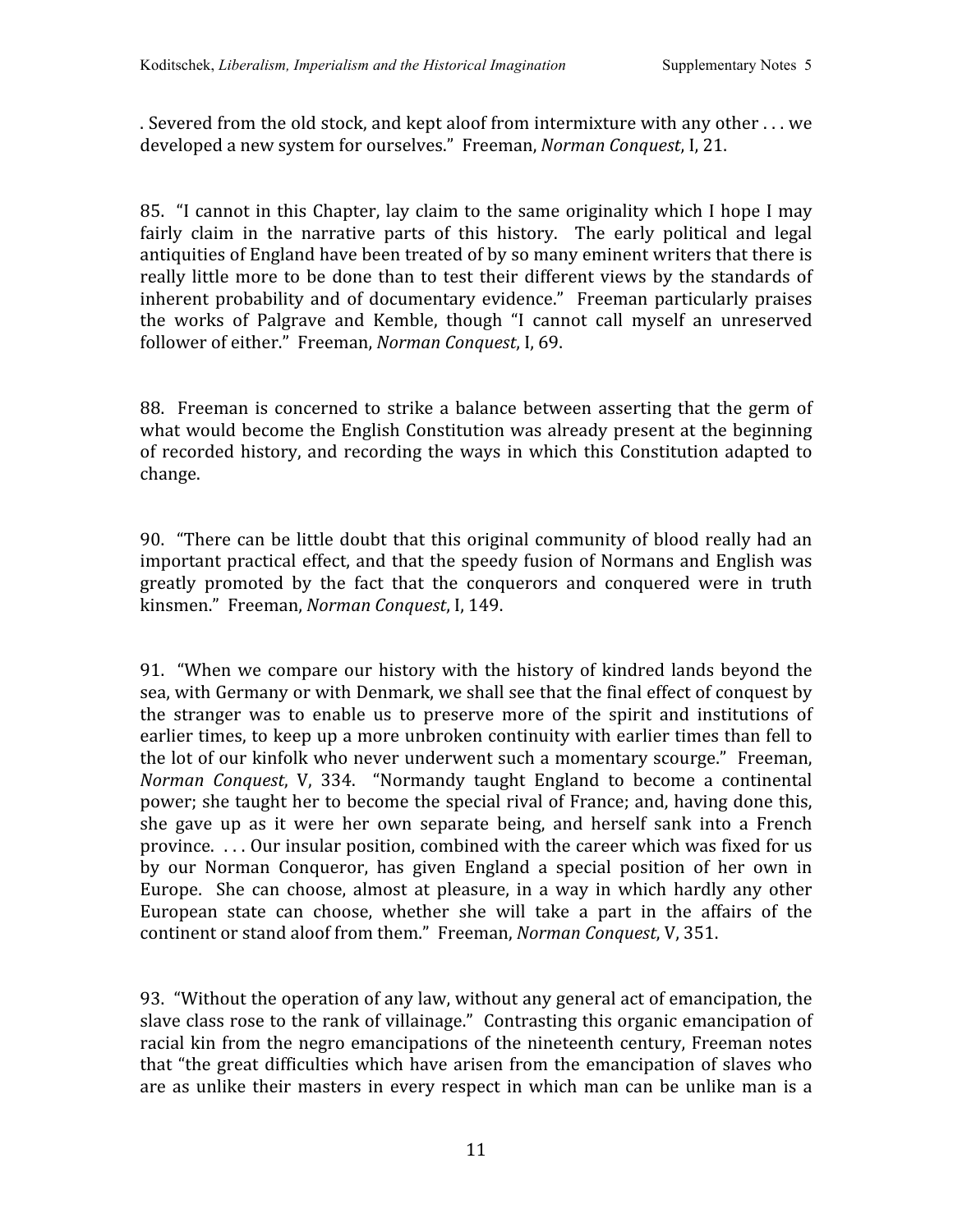. Severed from the old stock, and kept aloof from intermixture with any other . . . we developed
a
new
system
for
ourselves."

Freeman, *Norman
Conquest*,
I,
21.

85. "I cannot in this Chapter, lay claim to the same originality which I hope I may fairly claim in the narrative parts of this history. The early political and legal antiquities of England have been treated of by so many eminent writers that there is really little more to be done than to test their different views by the standards of inherent probability and of documentary evidence." Freeman particularly praises the works of Palgrave and Kemble, though "I cannot call myself an unreserved follower
of
either."

Freeman, *Norman
Conquest*,
I,
69.

88. Freeman is concerned to strike a balance between asserting that the germ of what would become the English Constitution was already present at the beginning of recorded history, and recording the ways in which this Constitution adapted to change.

90. "There
can
be
little
doubt
that
this
original
community
of
blood really
had
an important practical effect, and that the speedy fusion of Normans and English was greatly promoted by the fact that the conquerors and conquered were in truth kinsmen."

Freeman, *Norman
Conquest*,
I,
149.

91. "When
we compare
our
history
with
the
history
of
kindred
lands
beyond
the sea, with Germany or with Denmark, we shall see that the final effect of conquest by the stranger was to enable us to preserve more of the spirit and institutions of earlier times, to keep up a more unbroken continuity with earlier times than fell to the
lot
of
our
kinfolk
who
never
underwent
such
a
momentary
scourge." Freeman, Norman Conquest, V, 334. "Normandy taught England to become a continental power;
she
taught
her
to
become
the
special
rival
of
France;
and,
having
done
this, she gave up as it were her own separate being, and herself sank into a French province. ... Our insular position, combined with the career which was fixed for us by our Norman Conqueror, has given England a special position of her own in Europe. She can choose, almost at pleasure, in a way in which hardly any other European state can choose, whether she will take a part in the affairs of the continent
or
stand
aloof
from
them."

Freeman, *Norman
Conquest*,
V,
351.

93. "Without the operation of any law, without any general act of emancipation, the slave class rose to the rank of villainage." Contrasting this organic emancipation of racial
kin
from
the
negro
emancipations
of
the
nineteenth
century,
Freeman
notes that "the great difficulties which have arisen from the emancipation of slaves who are as unlike their masters in every respect in which man can be unlike man is a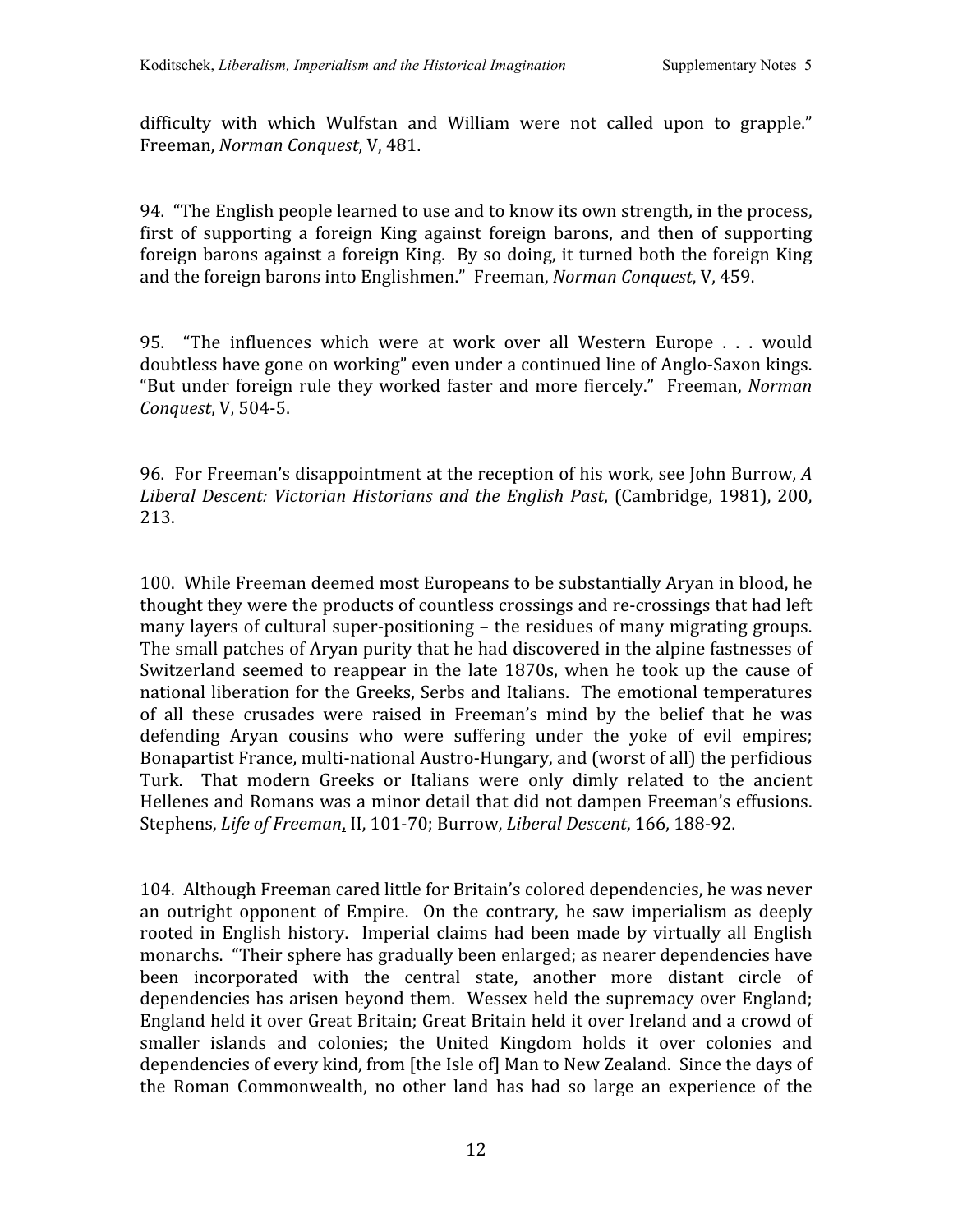difficulty with which Wulfstan and William were not called upon to grapple." Freeman, *Norman
Conquest*,
V,
481.

94. "The
English
people
learned
to
use
and
to
know
its
own
strength,
in
the
process, first of supporting a foreign King against foreign barons, and then of supporting foreign barons against a foreign King. By so doing, it turned both the foreign King and
the
foreign
barons
into
Englishmen."

Freeman, *Norman
Conquest*,
V,
459.

95. "The influences which were at work over all Western Europe . . . would doubtless have gone on working" even under a continued line of Anglo-Saxon kings. "But under foreign rule they worked faster and more fiercely." Freeman, Norman *Conquest*,
V,
504‐5.

96. For
Freeman's
disappointment
at
the
reception
of
his
work,
see
John
Burrow, *A Liberal
Descent:
Victorian
Historians
and
the
English
Past*,
(Cambridge,
1981),
200, 213.

100. While
Freeman
deemed
most
Europeans to
be
substantially
Aryan
in
blood,
he thought they were the products of countless crossings and re-crossings that had left many layers of cultural super-positioning – the residues of many migrating groups. The
small
patches
of
Aryan
purity
that
he
had
discovered
in
the
alpine
fastnesses
of Switzerland seemed to reappear in the late 1870s, when he took up the cause of national liberation for the Greeks, Serbs and Italians. The emotional temperatures of all these crusades were raised in Freeman's mind by the belief that he was defending Aryan cousins who were suffering under the yoke of evil empires; Bonapartist France, multi-national Austro-Hungary, and (worst of all) the perfidious Turk. That modern Greeks or Italians were only dimly related to the ancient Hellenes
and
Romans
was
a
minor
detail
that
did
not
dampen
Freeman's
effusions. Stephens, Life of Freeman, II, 101-70; Burrow, Liberal Descent, 166, 188-92.

104. Although
Freeman
cared
little
for
Britain's
colored
dependencies,
he
was
never an outright opponent of Empire. On
the contrary, he saw imperialism as deeply rooted in English history. Imperial claims had been made by virtually all English monarchs. "Their
sphere
has
gradually
been
enlarged;
as
nearer
dependencies
have been incorporated with the central state, another more distant circle of dependencies has arisen beyond them. Wessex held the supremacy over England; England held it over Great Britain; Great Britain held it over Ireland and a crowd of smaller islands and colonies; the United Kingdom holds it over colonies and dependencies of every kind, from [the Isle of] Man to New Zealand. Since the days of the Roman Commonwealth, no other land has had so large an experience of the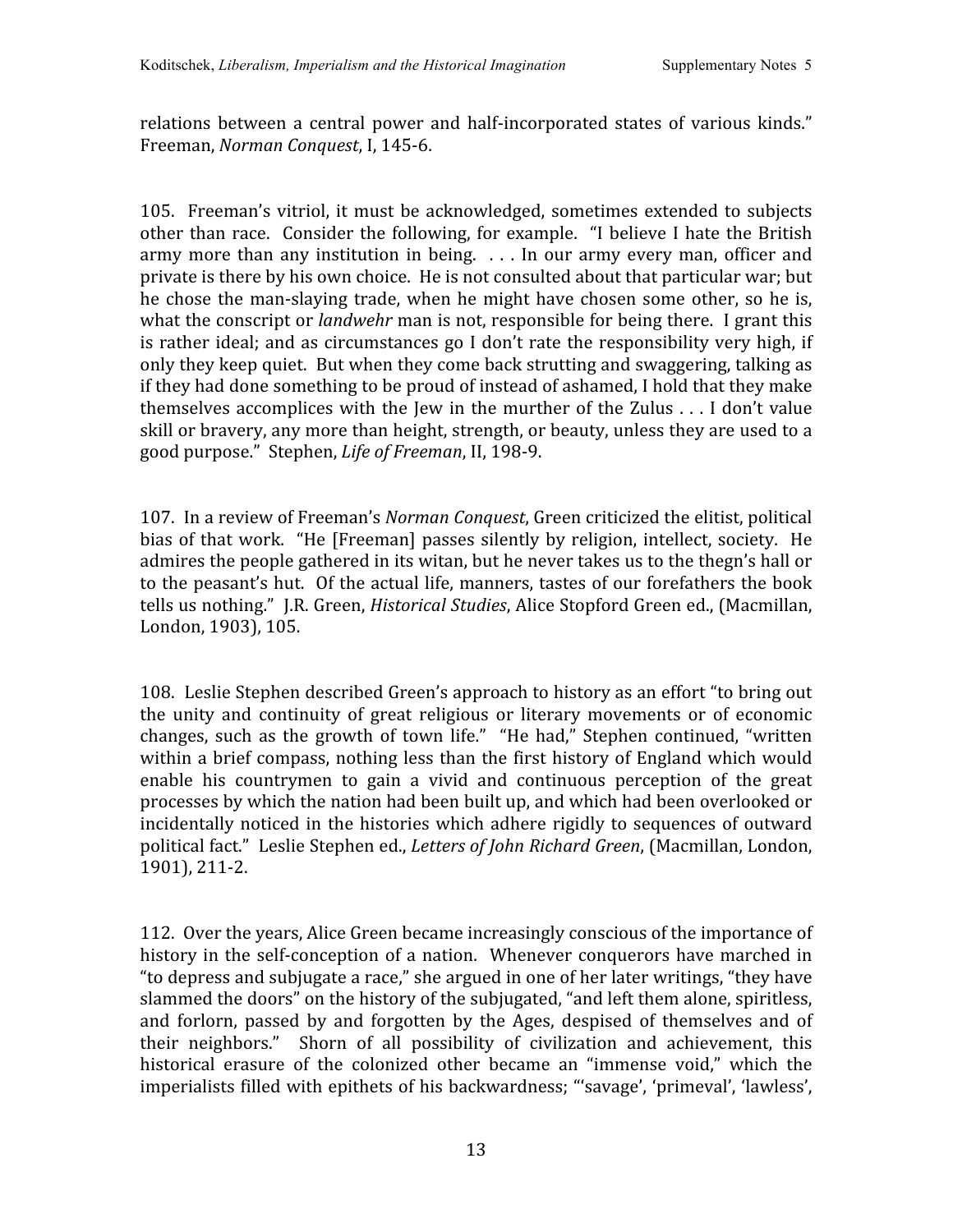relations between a central power and half-incorporated states of various kinds." Freeman, *Norman
Conquest*,
I,
145‐6.

105. Freeman's vitriol, it must be acknowledged, sometimes extended to subjects other than race. Consider the following, for example. "I believe I hate the British army more than any institution in being. . . . In our army every man, officer and private
is
there
by
his
own
choice. He
is
not
consulted
about
that
particular
war;
but he chose
the
man‐slaying
trade,
when
he
might
have chosen some
other, so
he
is, what the conscript or *landwehr* man is not, responsible for being there. I grant this is rather ideal; and as circumstances go I don't rate the responsibility very high, if only they keep quiet. But when they come back strutting and swaggering, talking as if
they
had
done
something
to
be
proud
of
instead
of
ashamed,
I
hold
that
they
make themselves accomplices with the Jew in the murther of the Zulus . . . I don't value skill or bravery, any more than height, strength, or beauty, unless they are used to a good
purpose."

Stephen, *Life
of
Freeman*,
II,
198‐9.

107. In a review of Freeman's *Norman Conquest*, Green criticized the elitist, political bias of that work. "He [Freeman] passes silently by religion, intellect, society. He admires the people gathered in its witan, but he never takes us to the thegn's hall or to
the
peasant's
hut. Of
the
actual
life,
manners,
tastes
of
our
forefathers
the
book tells
us
nothing." J.R.
Green, *Historical
Studies*,
Alice
Stopford
Green
ed.,
(Macmillan, London,
1903),
105.

108. Leslie Stephen described Green's approach to history as an effort "to bring out the unity and continuity of great religious or literary movements or of economic changes, such as the growth of town life." "He had," Stephen continued, "written within a brief compass, nothing less than the first history of England which would enable his countrymen to gain a vivid and continuous perception of the great processes
by
which
the
nation
had
been
built
up,
and
which
had
been
overlooked
or incidentally noticed in the histories which adhere rigidly to sequences of outward political
fact." Leslie
Stephen
ed., *Letters
of
John
Richard
Green*,
(Macmillan,
London, 1901),
211‐2.

112.

Over
the
years,
Alice
Green
became
increasingly
conscious
of
the
importance
of history in the self-conception of a nation. Whenever conquerors have marched in "to depress and subjugate a race," she argued in one of her later writings, "they have slammed the doors" on the history of the subjugated, "and left them alone, spiritless, and forlorn, passed by and forgotten by the Ages, despised of themselves and of their neighbors." Shorn of all possibility of civilization and achievement, this historical erasure of the colonized other became an "immense void," which the imperialists
filled
with
epithets
of
his
backwardness;
"'savage',
'primeval',
'lawless',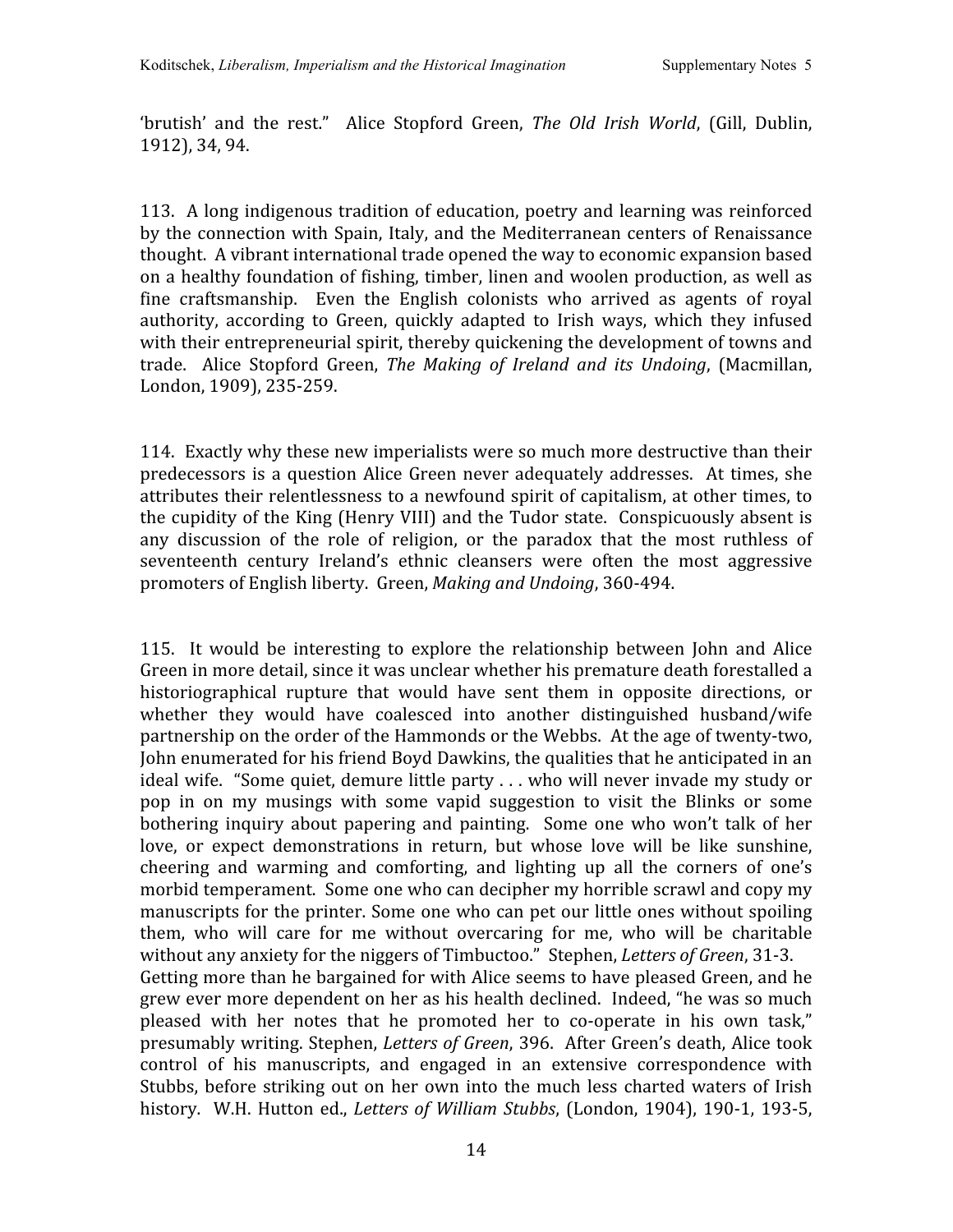'brutish' and the rest." Alice Stopford Green, The Old Irish World, (Gill, Dublin. 1912),
34,
94.

113. A
long
indigenous
tradition
of
education,
poetry
and
learning
was
reinforced by the connection with Spain, Italy, and the Mediterranean centers of Renaissance thought. A
vibrant
international
trade
opened
the
way
to
economic
expansion
based on
a
healthy
foundation
of
fishing,
timber,
linen
and
woolen
production,
as
well
as fine craftsmanship. Even the English colonists who arrived as agents of royal authority, according to Green, quickly adapted to Irish ways, which they infused with their entrepreneurial spirit, thereby quickening the development of towns and trade. Alice Stopford Green, *The Making of Ireland and its Undoing*, (Macmillan, London,
1909),
235‐259.

114. Exactly
why
these
new
imperialists
were
so
much
more
destructive
than
their predecessors
is
a
question
Alice
Green
never
adequately addresses. At
times, she attributes
their
relentlessness
to
a
newfound
spirit
of
capitalism,
at
other
times,
to the
cupidity
of
the
King
(Henry
VIII)
and
the
Tudor
state. Conspicuously
absent
is any discussion of the role of religion, or the paradox that the most ruthless of seventeenth century Ireland's ethnic cleansers were often the most aggressive promoters
of
English
liberty.

Green, *Making
and
Undoing*,
360‐494.

115. It would be interesting to explore the relationship between John and Alice Green in more detail, since it was unclear whether his premature death forestalled a historiographical rupture that would have sent them in opposite directions, or whether they would have coalesced into another distinguished husband/wife partnership on the order of the Hammonds or the Webbs. At the age of twenty-two, John enumerated for his friend Boyd Dawkins, the qualities that he anticipated in an ideal wife. "Some quiet, demure little party,,, who will never invade my study or pop in on my musings with some vapid suggestion to visit the Blinks or some bothering inquiry about papering and painting. Some one who won't talk of her love, or expect demonstrations in return, but whose love will be like sunshine, cheering and warming and comforting, and lighting up all the corners of one's morbid temperament. Some one who can decipher my horrible scrawl and copy my manuscripts for the printer. Some one who can pet our little ones without spoiling them, who will care for me without overcaring for me, who will be charitable without any anxiety for the niggers of Timbuctoo." Stephen, *Letters of Green*, 31-3. Getting more than he bargained for with Alice seems to have pleased Green, and he grew
ever
more
dependent
on
her
as
his
health
declined. Indeed,
"he
was
so
much pleased with her notes that he promoted her to co-operate in his own task," presumably
writing.
Stephen, *Letters
of
Green*,
396. After
Green's
death,
Alice
took control of his manuscripts, and engaged in an extensive correspondence with Stubbs, before striking out on her own into the much less charted waters of Irish history. W.H. Hutton ed., *Letters of William Stubbs*, (London, 1904), 190-1, 193-5,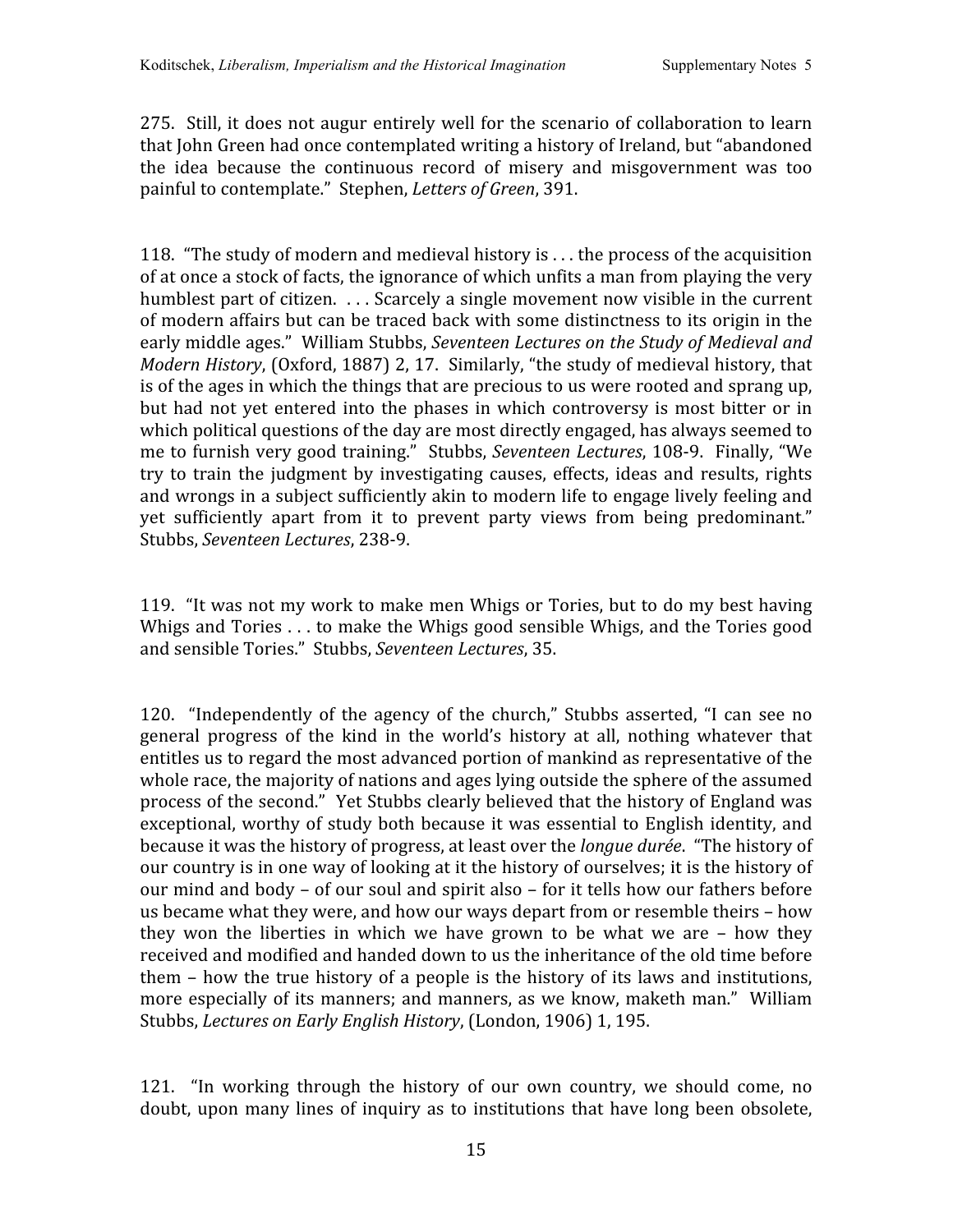275. Still, it does not augur entirely well for the scenario of collaboration to learn that
John
Green
had
once
contemplated
writing
a
history
of
Ireland,
but
"abandoned the idea because the continuous record of misery and misgovernment was too painful
to
contemplate."

Stephen, *Letters
of
Green*,
391.

118. "The
study
of
modern and
medieval
history
is
.
.
. the
process
of
the
acquisition of at once a stock of facts, the ignorance of which unfits a man from playing the very humblest part of citizen. ... Scarcely a single movement now visible in the current of
modern
affairs
but
can
be
traced
back
with
some
distinctness
to
its
origin
in
the early middle ages." William Stubbs, Seventeen Lectures on the Study of Medieval and Modern History, (Oxford, 1887) 2, 17. Similarly, "the study of medieval history, that is of the ages in which the things that are precious to us were rooted and sprang up, but had not yet entered into the phases in which controversy is most bitter or in which political questions of the day are most directly engaged, has always seemed to me
to
furnish
very
good
training." Stubbs, *Seventeen
Lectures*,
108‐9. Finally,
"We try to train the judgment by investigating causes, effects, ideas and results, rights and wrongs in a subject sufficiently akin to modern life to engage lively feeling and yet sufficiently apart from it to prevent party views from being predominant." Stubbs, *Seventeen
Lectures*,
238‐9.

119. "It was not my work to make men Whigs or Tories, but to do my best having Whigs and Tories . . . to make the Whigs good sensible Whigs, and the Tories good and
sensible
Tories."

Stubbs, *Seventeen
Lectures*,
35.

120. "Independently of the agency of the church," Stubbs asserted, "I can see no general progress of the kind in the world's history at all, nothing whatever that entitles us to regard the most advanced portion of mankind as representative of the whole race, the majority of nations and ages lying outside the sphere of the assumed process
of
the
second." Yet
Stubbs
clearly
believed
that
the
history
of
England
was exceptional, worthy of study both because it was essential to English identity, and because it was the history of progress, at least over the *longue durée*. "The history of our country is in one way of looking at it the history of ourselves; it is the history of our
mind
and
body
– of
our
soul
and
spirit
also
– for
it
tells
how
our
fathers
before us
became
what
they
were,
and
how
our
ways
depart
from
or
resemble
theirs
– how they won the liberties in which we have grown to be what we are - how they received and modified and handed down to us the inheritance of the old time before them – how the true history of a people is the history of its laws and institutions, more especially of its manners; and manners, as we know, maketh man." William Stubbs, *Lectures
on
Early
English
History*,
(London,
1906)
1,
195.

121. "In working through the history of our own country, we should come, no doubt, upon many lines of inquiry as to institutions that have long been obsolete,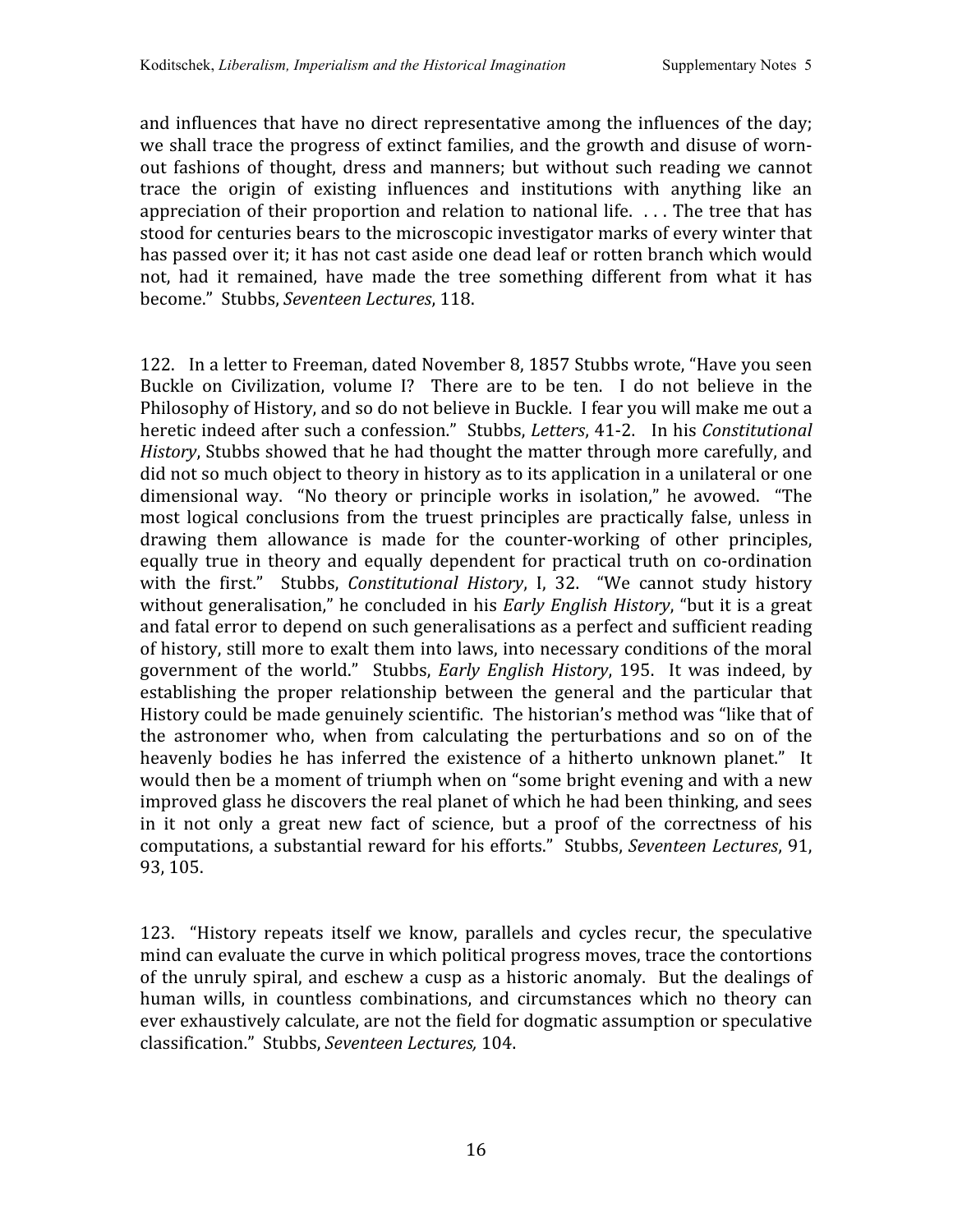and influences that have no direct representative among the influences of the day; we shall trace the progress of extinct families, and the growth and disuse of wornout fashions of thought, dress and manners; but without such reading we cannot trace the origin of existing influences and institutions with anything like an appreciation of their proportion and relation to national life.  $\ldots$  The tree that has stood for centuries bears to the microscopic investigator marks of every winter that has passed over it; it has not cast aside one dead leaf or rotten branch which would not, had it remained, have made the tree something different from what it has become."

Stubbs, *Seventeen
Lectures*,
118.

122. In
a
letter
to
Freeman,
dated
November
8,
1857
Stubbs
wrote,
"Have
you
seen Buckle on Civilization, volume I? There are to be ten. I do not believe in the Philosophy of History, and so do not believe in Buckle. I fear you will make me out a heretic indeed after such a confession." Stubbs, Letters, 41-2. In his Constitutional History, Stubbs showed that he had thought the matter through more carefully, and did not so much object to theory in history as to its application in a unilateral or one dimensional way. "No theory or principle works in isolation," he avowed. "The most logical conclusions from the truest principles are practically false, unless in drawing them allowance is made for the counter‐working of other principles, equally true in theory and equally dependent for practical truth on co-ordination with the first." Stubbs, *Constitutional History*, I, 32. "We cannot study history without generalisation," he concluded in his *Early English History*, "but it is a great and
fatal
error
to
depend
on
such
generalisations
as
a
perfect
and
sufficient
reading of
history,
still
more
to
exalt
them
into
laws,
into
necessary
conditions
of
the
moral government of the world." Stubbs, *Early English History*, 195. It was indeed, by establishing the proper relationship between the general and the particular that History could be made genuinely scientific. The historian's method was "like that of the astronomer who, when from calculating the perturbations and so on of the heavenly bodies he has inferred the existence of a hitherto unknown planet." It would then be a moment of triumph when on "some bright evening and with a new improved
glass
he
discovers
the
real
planet
of
which
he
had
been
thinking,
and
sees in it not only a great new fact of science, but a proof of the correctness of his computations,
a
substantial
reward
for
his
efforts." Stubbs, *Seventeen
Lectures*,
91, 93,
105.

123. "History repeats itself we know, parallels and cycles recur, the speculative mind can evaluate the curve in which political progress moves, trace the contortions of
the
unruly spiral,
and
eschew
a
cusp
as
a
historic
anomaly. But
the
dealings
of human wills, in countless combinations, and circumstances which no theory can ever exhaustively calculate, are not the field for dogmatic assumption or speculative classification."

Stubbs, *Seventeen
Lectures,*104.